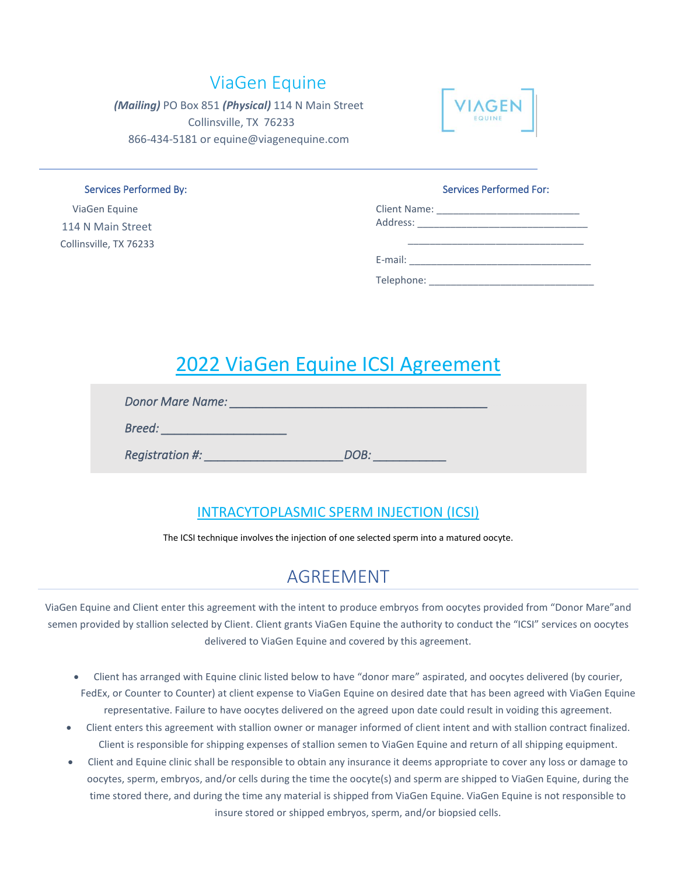#### ViaGen Equine

*(Mailing)* PO Box 851 *(Physical)* 114 N Main Street Collinsville, TX 76233 866-434-5181 or equine@viagenequine.com



 ViaGen Equine 114 N Main Street Collinsville, TX 76233

#### Services Performed By: Services Performed For:

\_\_\_\_\_\_\_\_\_\_\_\_\_\_\_\_\_\_\_\_\_\_\_\_\_\_\_\_\_\_\_\_

| <b>Client Name:</b> |  |
|---------------------|--|
| Address:            |  |

E-mail: \_\_\_\_\_\_\_\_\_\_\_\_\_\_\_\_\_\_\_\_\_\_\_\_\_\_\_\_\_\_\_\_\_

Telephone:

## 2022 ViaGen Equine ICSI Agreement

| <b>Donor Mare Name:</b> |      |  |
|-------------------------|------|--|
| Breed:                  |      |  |
| Registration #:         | DOB: |  |

#### INTRACYTOPLASMIC SPERM INJECTION (ICSI)

The ICSI technique involves the injection of one selected sperm into a matured oocyte.

#### AGREEMENT

ViaGen Equine and Client enter this agreement with the intent to produce embryos from oocytes provided from "Donor Mare"and semen provided by stallion selected by Client. Client grants ViaGen Equine the authority to conduct the "ICSI" services on oocytes delivered to ViaGen Equine and covered by this agreement.

- Client has arranged with Equine clinic listed below to have "donor mare" aspirated, and oocytes delivered (by courier, FedEx, or Counter to Counter) at client expense to ViaGen Equine on desired date that has been agreed with ViaGen Equine representative. Failure to have oocytes delivered on the agreed upon date could result in voiding this agreement.
- Client enters this agreement with stallion owner or manager informed of client intent and with stallion contract finalized. Client is responsible for shipping expenses of stallion semen to ViaGen Equine and return of all shipping equipment.
- Client and Equine clinic shall be responsible to obtain any insurance it deems appropriate to cover any loss or damage to oocytes, sperm, embryos, and/or cells during the time the oocyte(s) and sperm are shipped to ViaGen Equine, during the time stored there, and during the time any material is shipped from ViaGen Equine. ViaGen Equine is not responsible to insure stored or shipped embryos, sperm, and/or biopsied cells.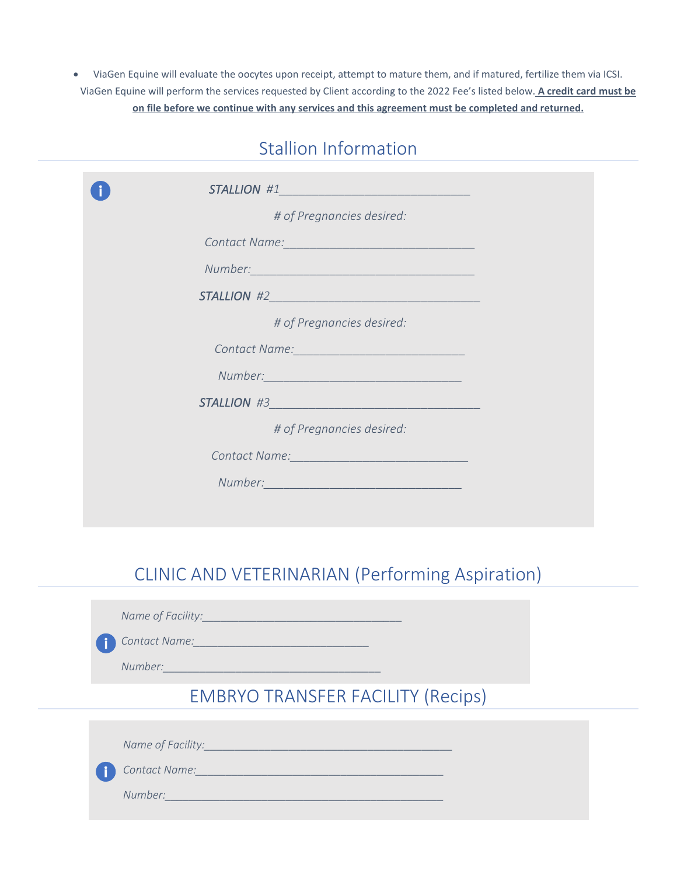• ViaGen Equine will evaluate the oocytes upon receipt, attempt to mature them, and if matured, fertilize them via ICSI. ViaGen Equine will perform the services requested by Client according to the 2022 Fee's listed below. **A credit card must be on file before we continue with any services and this agreement must be completed and returned.**

#### Stallion Information

| STALLION #1                                                                                                                                                                                                                   |
|-------------------------------------------------------------------------------------------------------------------------------------------------------------------------------------------------------------------------------|
| # of Pregnancies desired:                                                                                                                                                                                                     |
| Contact Name: Name   Name   Name   Name   Name   Name   Name   Name   Name   Name   Name   Name   Name   Name   Name   Name   Name   Name   Name   Name   Name   Name   Name   Name   Name   Name   Name   Name   Name   Name |
| Number: 1999 - 1999 - 1999 - 1999 - 1999 - 1999 - 1999 - 1999 - 1999 - 1999 - 1999 - 1999 - 1999 - 1999 - 199                                                                                                                 |
|                                                                                                                                                                                                                               |
| # of Pregnancies desired:                                                                                                                                                                                                     |
| Contact Name: Name and Contact Name and Contact Name and Contact Name and Contact Association of the United States                                                                                                            |
| Number: 2008 - 2008 - 2010 - 2010 - 2010 - 2010 - 2010 - 2010 - 2010 - 2010 - 2010 - 2010 - 2010 - 2010 - 2010                                                                                                                |
|                                                                                                                                                                                                                               |
| # of Pregnancies desired:                                                                                                                                                                                                     |
| Contact Name: <u>Contact Name: Contact Name:</u>                                                                                                                                                                              |
|                                                                                                                                                                                                                               |
|                                                                                                                                                                                                                               |

#### CLINIC AND VETERINARIAN (Performing Aspiration)

*Name of Facility:\_\_\_\_\_\_\_\_\_\_\_\_\_\_\_\_\_\_\_\_\_\_\_\_\_\_\_\_\_\_\_\_\_*

*Contact Name:\_\_\_\_\_\_\_\_\_\_\_\_\_\_\_\_\_\_\_\_\_\_\_\_\_\_\_\_\_*

*Number:\_\_\_\_\_\_\_\_\_\_\_\_\_\_\_\_\_\_\_\_\_\_\_\_\_\_\_\_\_\_\_\_\_\_\_\_*

EMBRYO TRANSFER FACILITY (Recips)

*Name of Facility:\_\_\_\_\_\_\_\_\_\_\_\_\_\_\_\_\_\_\_\_\_\_\_\_\_\_\_\_\_\_\_\_\_\_\_\_\_\_\_\_\_*

*Contact Name:\_\_\_\_\_\_\_\_\_\_\_\_\_\_\_\_\_\_\_\_\_\_\_\_\_\_\_\_\_\_\_\_\_\_\_\_\_\_\_\_\_*

*Number:\_\_\_\_\_\_\_\_\_\_\_\_\_\_\_\_\_\_\_\_\_\_\_\_\_\_\_\_\_\_\_\_\_\_\_\_\_\_\_\_\_\_\_\_\_\_*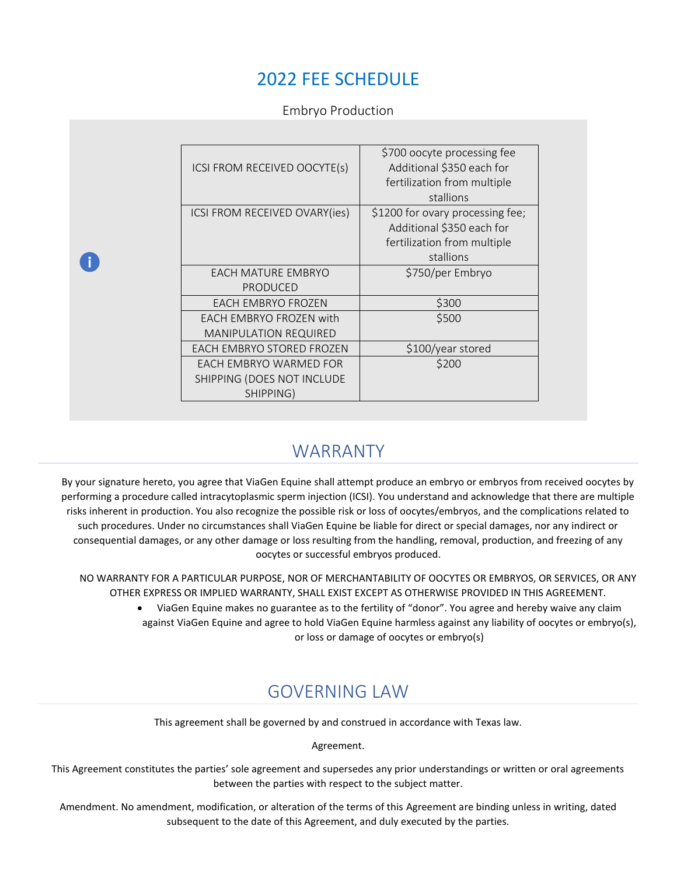#### 2022 FEE SCHEDULE

Embryo Production

| ICSI FROM RECEIVED OOCYTE(s)  | \$700 oocyte processing fee<br>Additional \$350 each for      |
|-------------------------------|---------------------------------------------------------------|
|                               | fertilization from multiple<br>stallions                      |
| ICSI FROM RECEIVED OVARY(ies) | \$1200 for ovary processing fee;<br>Additional \$350 each for |
|                               | fertilization from multiple                                   |
| EACH MATURE EMBRYO            | stallions                                                     |
| <b>PRODUCED</b>               | \$750/per Embryo                                              |
| <b>EACH EMBRYO FROZEN</b>     | \$300                                                         |
| EACH EMBRYO FROZEN with       | \$500                                                         |
| <b>MANIPULATION REQUIRED</b>  |                                                               |
| EACH EMBRYO STORED FROZEN     | \$100/year stored                                             |
| EACH EMBRYO WARMED FOR        | \$200                                                         |
| SHIPPING (DOES NOT INCLUDE    |                                                               |
| SHIPPING)                     |                                                               |

#### WARRANTY

By your signature hereto, you agree that ViaGen Equine shall attempt produce an embryo or embryos from received oocytes by performing a procedure called intracytoplasmic sperm injection (ICSI). You understand and acknowledge that there are multiple risks inherent in production. You also recognize the possible risk or loss of oocytes/embryos, and the complications related to such procedures. Under no circumstances shall ViaGen Equine be liable for direct or special damages, nor any indirect or consequential damages, or any other damage or loss resulting from the handling, removal, production, and freezing of any oocytes or successful embryos produced.

NO WARRANTY FOR A PARTICULAR PURPOSE, NOR OF MERCHANTABILITY OF OOCYTES OR EMBRYOS, OR SERVICES, OR ANY OTHER EXPRESS OR IMPLIED WARRANTY, SHALL EXIST EXCEPT AS OTHERWISE PROVIDED IN THIS AGREEMENT.

> • ViaGen Equine makes no guarantee as to the fertility of "donor". You agree and hereby waive any claim against ViaGen Equine and agree to hold ViaGen Equine harmless against any liability of oocytes or embryo(s), or loss or damage of oocytes or embryo(s)

#### GOVERNING LAW

This agreement shall be governed by and construed in accordance with Texas law.

Agreement.

This Agreement constitutes the parties' sole agreement and supersedes any prior understandings or written or oral agreements between the parties with respect to the subject matter.

Amendment. No amendment, modification, or alteration of the terms of this Agreement are binding unless in writing, dated subsequent to the date of this Agreement, and duly executed by the parties.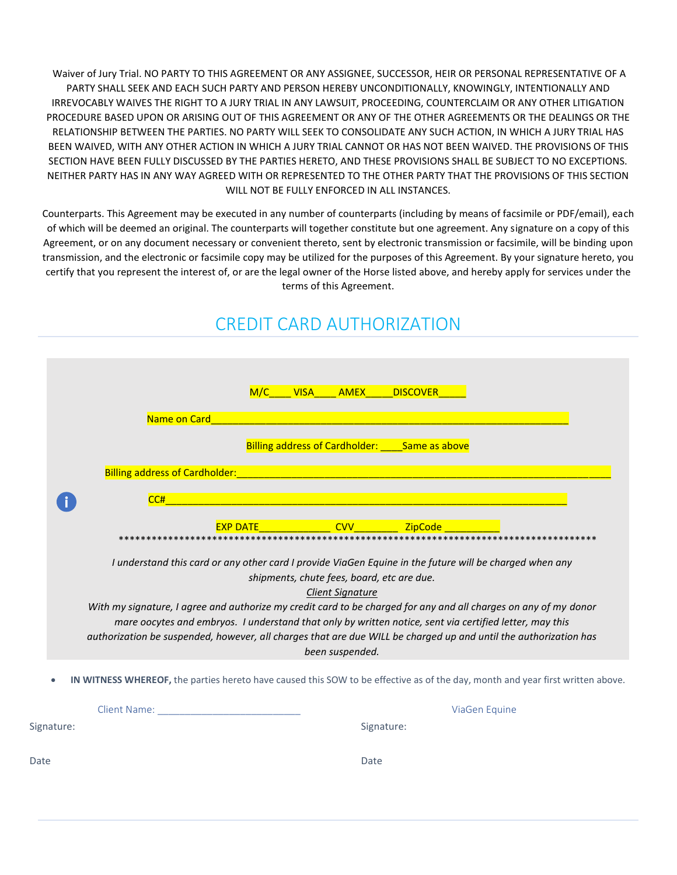Waiver of Jury Trial. NO PARTY TO THIS AGREEMENT OR ANY ASSIGNEE, SUCCESSOR, HEIR OR PERSONAL REPRESENTATIVE OF A PARTY SHALL SEEK AND EACH SUCH PARTY AND PERSON HEREBY UNCONDITIONALLY, KNOWINGLY, INTENTIONALLY AND IRREVOCABLY WAIVES THE RIGHT TO A JURY TRIAL IN ANY LAWSUIT, PROCEEDING, COUNTERCLAIM OR ANY OTHER LITIGATION PROCEDURE BASED UPON OR ARISING OUT OF THIS AGREEMENT OR ANY OF THE OTHER AGREEMENTS OR THE DEALINGS OR THE RELATIONSHIP BETWEEN THE PARTIES. NO PARTY WILL SEEK TO CONSOLIDATE ANY SUCH ACTION, IN WHICH A JURY TRIAL HAS BEEN WAIVED, WITH ANY OTHER ACTION IN WHICH A JURY TRIAL CANNOT OR HAS NOT BEEN WAIVED. THE PROVISIONS OF THIS SECTION HAVE BEEN FULLY DISCUSSED BY THE PARTIES HERETO, AND THESE PROVISIONS SHALL BE SUBJECT TO NO EXCEPTIONS. NEITHER PARTY HAS IN ANY WAY AGREED WITH OR REPRESENTED TO THE OTHER PARTY THAT THE PROVISIONS OF THIS SECTION WILL NOT BE FULLY ENFORCED IN ALL INSTANCES.

Counterparts. This Agreement may be executed in any number of counterparts (including by means of facsimile or PDF/email), each of which will be deemed an original. The counterparts will together constitute but one agreement. Any signature on a copy of this Agreement, or on any document necessary or convenient thereto, sent by electronic transmission or facsimile, will be binding upon transmission, and the electronic or facsimile copy may be utilized for the purposes of this Agreement. By your signature hereto, you certify that you represent the interest of, or are the legal owner of the Horse listed above, and hereby apply for services under the terms of this Agreement.

|            |                                                                                                                                                                                                                                      | M/C VISA AMEX DISCOVER                          |                                            |                                                                                                         |  |
|------------|--------------------------------------------------------------------------------------------------------------------------------------------------------------------------------------------------------------------------------------|-------------------------------------------------|--------------------------------------------|---------------------------------------------------------------------------------------------------------|--|
|            | Name on Card                                                                                                                                                                                                                         |                                                 |                                            |                                                                                                         |  |
|            |                                                                                                                                                                                                                                      |                                                 |                                            |                                                                                                         |  |
|            |                                                                                                                                                                                                                                      |                                                 |                                            | Billing address of Cardholder: Same as above                                                            |  |
|            |                                                                                                                                                                                                                                      |                                                 |                                            |                                                                                                         |  |
|            | CC#                                                                                                                                                                                                                                  |                                                 |                                            |                                                                                                         |  |
|            |                                                                                                                                                                                                                                      | EXP DATE _______________CVV_____________ZipCode |                                            |                                                                                                         |  |
|            |                                                                                                                                                                                                                                      |                                                 |                                            |                                                                                                         |  |
|            | With my signature, I agree and authorize my credit card to be charged for any and all charges on any of my donor<br>authorization be suspended, however, all charges that are due WILL be charged up and until the authorization has | shipments, chute fees, board, etc are due.      | <b>Client Signature</b><br>been suspended. | mare oocytes and embryos. I understand that only by written notice, sent via certified letter, may this |  |
|            | IN WITNESS WHEREOF, the parties hereto have caused this SOW to be effective as of the day, month and year first written above.                                                                                                       |                                                 |                                            |                                                                                                         |  |
|            | Client Name: Manual Manual Manual Manual Manual Manual Manual Manual Manual Manual Manual Manual Manual Manual                                                                                                                       |                                                 |                                            | ViaGen Equine                                                                                           |  |
| Signature: |                                                                                                                                                                                                                                      |                                                 |                                            | Signature:                                                                                              |  |
|            |                                                                                                                                                                                                                                      |                                                 |                                            |                                                                                                         |  |
| Date       |                                                                                                                                                                                                                                      |                                                 | Date                                       |                                                                                                         |  |

### CREDIT CARD AUTHORIZATION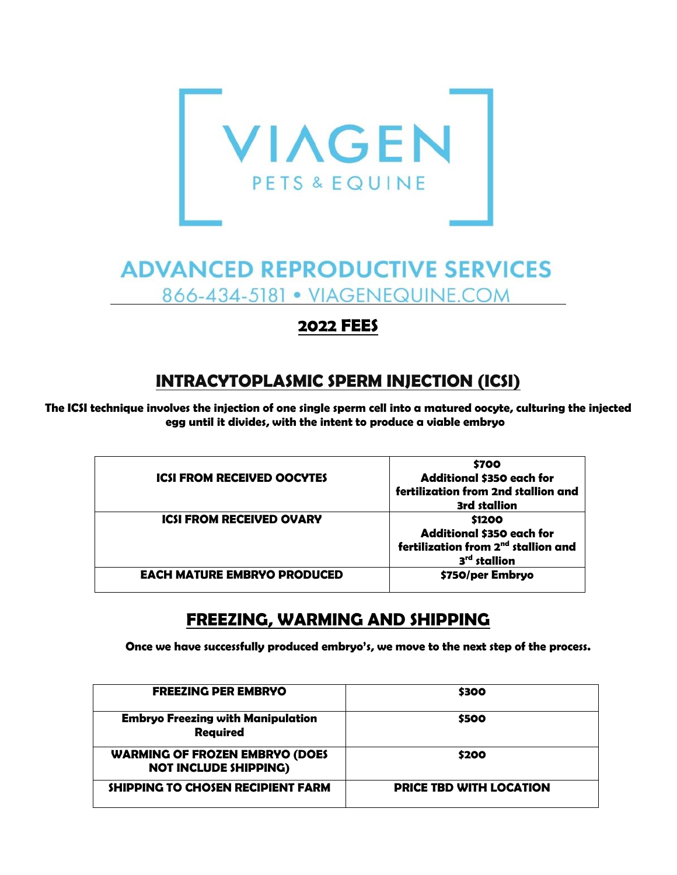

# **ADVANCED REPRODUCTIVE SERVICES** 866-434-5181 • VIAGENEQUINE.COM

#### **2022 FEES**

#### **INTRACYTOPLASMIC SPERM INJECTION (ICSI)**

The ICSI technique involves the injection of one single sperm cell into a matured oocyte, culturing the injected **egg until it divides, with the intent to produce a viable embryo t**

| \$700<br><b>Additional \$350 each for</b>       |
|-------------------------------------------------|
| fertilization from 2nd stallion and             |
| <b>3rd stallion</b>                             |
| \$1200                                          |
| Additional \$350 each for                       |
| fertilization from 2 <sup>nd</sup> stallion and |
| 3 <sup>rd</sup> stallion                        |
| \$750/per Embryo                                |
|                                                 |

#### **FREEZING, WARMING AND SHIPPING**

**Once we have successfully produced embryo's, we move to the next step of the process.**

| <b>FREEZING PER EMBRYO</b>                                            | \$300                          |
|-----------------------------------------------------------------------|--------------------------------|
| <b>Embryo Freezing with Manipulation</b><br><b>Required</b>           | \$500                          |
| <b>WARMING OF FROZEN EMBRYO (DOES</b><br><b>NOT INCLUDE SHIPPING)</b> | \$200                          |
| SHIPPING TO CHOSEN RECIPIENT FARM                                     | <b>PRICE TBD WITH LOCATION</b> |